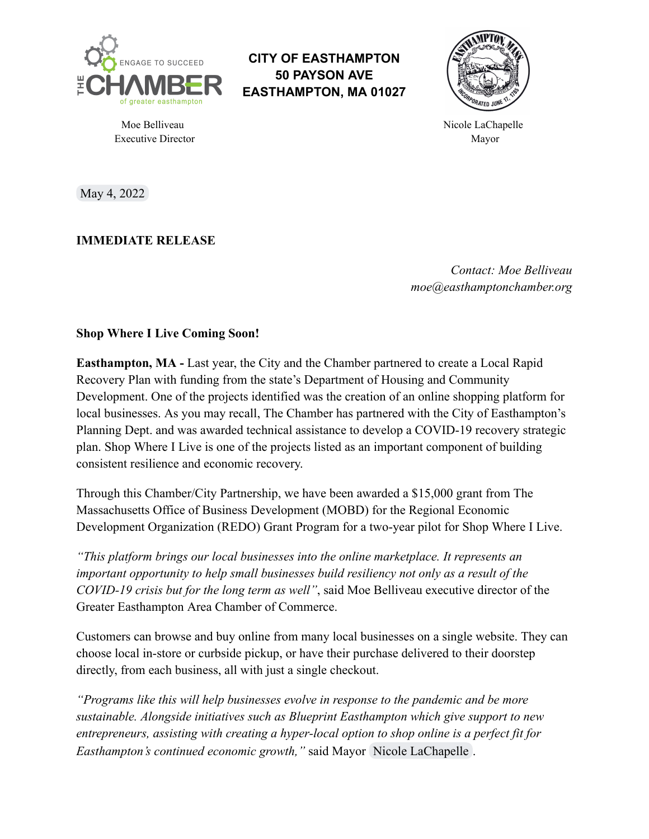

**CITY OF EASTHAMPTON 50 PAYSON AVE EASTHAMPTON, MA 01027**



Moe Belliveau and the settlement of the Micole LaChapelle Chapelle and the Nicole LaChapelle Executive Director Mayor

May 4, 2022

**IMMEDIATE RELEASE**

*Contact: Moe Belliveau moe@easthamptonchamber.org*

## **Shop Where I Live Coming Soon!**

**Easthampton, MA -** Last year, the City and the Chamber partnered to create a Local Rapid Recovery Plan with funding from the state's Department of Housing and Community Development. One of the projects identified was the creation of an online shopping platform for local businesses. As you may recall, The Chamber has partnered with the City of Easthampton's Planning Dept. and was awarded technical assistance to develop a COVID-19 recovery strategic plan. Shop Where I Live is one of the projects listed as an important component of building consistent resilience and economic recovery.

Through this Chamber/City Partnership, we have been awarded a \$15,000 grant from The Massachusetts Office of Business Development (MOBD) for the Regional Economic Development Organization (REDO) Grant Program for a two-year pilot for Shop Where I Live.

*"This platform brings our local businesses into the online marketplace. It represents an important opportunity to help small businesses build resiliency not only as a result of the COVID-19 crisis but for the long term as well"*, said Moe Belliveau executive director of the Greater Easthampton Area Chamber of Commerce.

Customers can browse and buy online from many local businesses on a single website. They can choose local in-store or curbside pickup, or have their purchase delivered to their doorstep directly, from each business, all with just a single checkout.

*"Programs like this will help businesses evolve in response to the pandemic and be more sustainable. Alongside initiatives such as Blueprint Easthampton which give support to new entrepreneurs, assisting with creating a hyper-local option to shop online is a perfect fit for Easthampton's continued economic growth,"* said Mayor [Nicole LaChapelle](mailto:nlachapelle@easthamptonma.gov) .